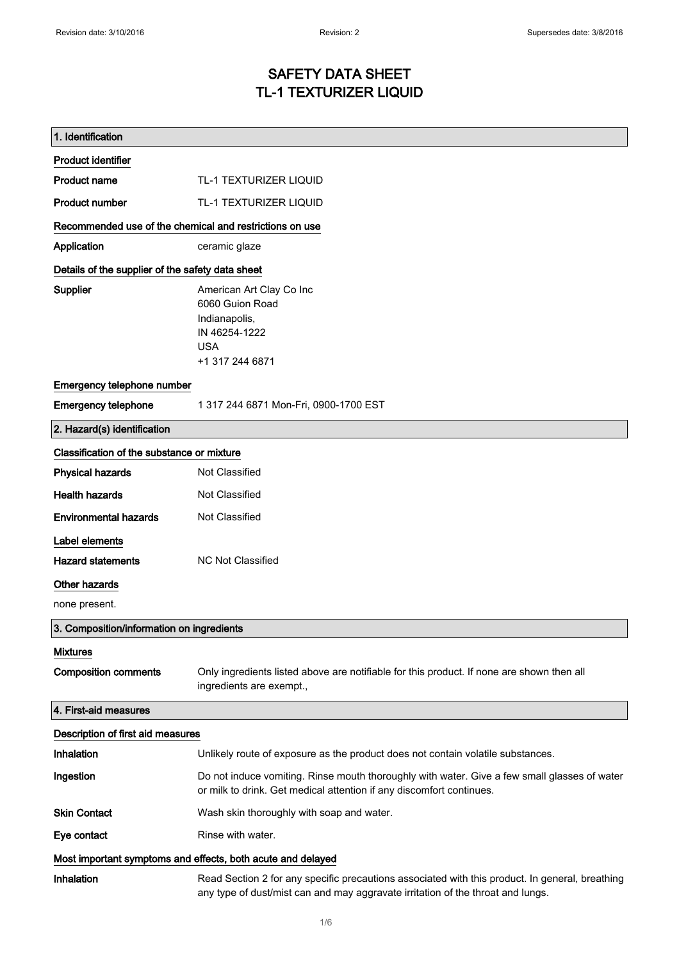## SAFETY DATA SHEET TL-1 TEXTURIZER LIQUID

| 1. Identification                                           |                                                                                                                                                                                    |  |
|-------------------------------------------------------------|------------------------------------------------------------------------------------------------------------------------------------------------------------------------------------|--|
| <b>Product identifier</b>                                   |                                                                                                                                                                                    |  |
| <b>Product name</b>                                         | <b>TL-1 TEXTURIZER LIQUID</b>                                                                                                                                                      |  |
| <b>Product number</b>                                       | TL-1 TEXTURIZER LIQUID                                                                                                                                                             |  |
| Recommended use of the chemical and restrictions on use     |                                                                                                                                                                                    |  |
| Application                                                 | ceramic glaze                                                                                                                                                                      |  |
| Details of the supplier of the safety data sheet            |                                                                                                                                                                                    |  |
| <b>Supplier</b>                                             | American Art Clay Co Inc<br>6060 Guion Road<br>Indianapolis,<br>IN 46254-1222<br><b>USA</b><br>+1 317 244 6871                                                                     |  |
| Emergency telephone number                                  |                                                                                                                                                                                    |  |
| <b>Emergency telephone</b>                                  | 1 317 244 6871 Mon-Fri, 0900-1700 EST                                                                                                                                              |  |
| 2. Hazard(s) identification                                 |                                                                                                                                                                                    |  |
| Classification of the substance or mixture                  |                                                                                                                                                                                    |  |
| <b>Physical hazards</b>                                     | Not Classified                                                                                                                                                                     |  |
| <b>Health hazards</b>                                       | Not Classified                                                                                                                                                                     |  |
| <b>Environmental hazards</b>                                | Not Classified                                                                                                                                                                     |  |
| Label elements                                              |                                                                                                                                                                                    |  |
| <b>Hazard statements</b>                                    | <b>NC Not Classified</b>                                                                                                                                                           |  |
| <b>Other hazards</b>                                        |                                                                                                                                                                                    |  |
| none present.                                               |                                                                                                                                                                                    |  |
| 3. Composition/information on ingredients                   |                                                                                                                                                                                    |  |
| <b>Mixtures</b>                                             |                                                                                                                                                                                    |  |
| <b>Composition comments</b>                                 | Only ingredients listed above are notifiable for this product. If none are shown then all<br>ingredients are exempt.,                                                              |  |
| 4. First-aid measures                                       |                                                                                                                                                                                    |  |
| Description of first aid measures                           |                                                                                                                                                                                    |  |
| Inhalation                                                  | Unlikely route of exposure as the product does not contain volatile substances.                                                                                                    |  |
| Ingestion                                                   | Do not induce vomiting. Rinse mouth thoroughly with water. Give a few small glasses of water<br>or milk to drink. Get medical attention if any discomfort continues.               |  |
| <b>Skin Contact</b>                                         | Wash skin thoroughly with soap and water.                                                                                                                                          |  |
| Eye contact                                                 | Rinse with water.                                                                                                                                                                  |  |
| Most important symptoms and effects, both acute and delayed |                                                                                                                                                                                    |  |
| <b>Inhalation</b>                                           | Read Section 2 for any specific precautions associated with this product. In general, breathing<br>any type of dust/mist can and may aggravate irritation of the throat and lungs. |  |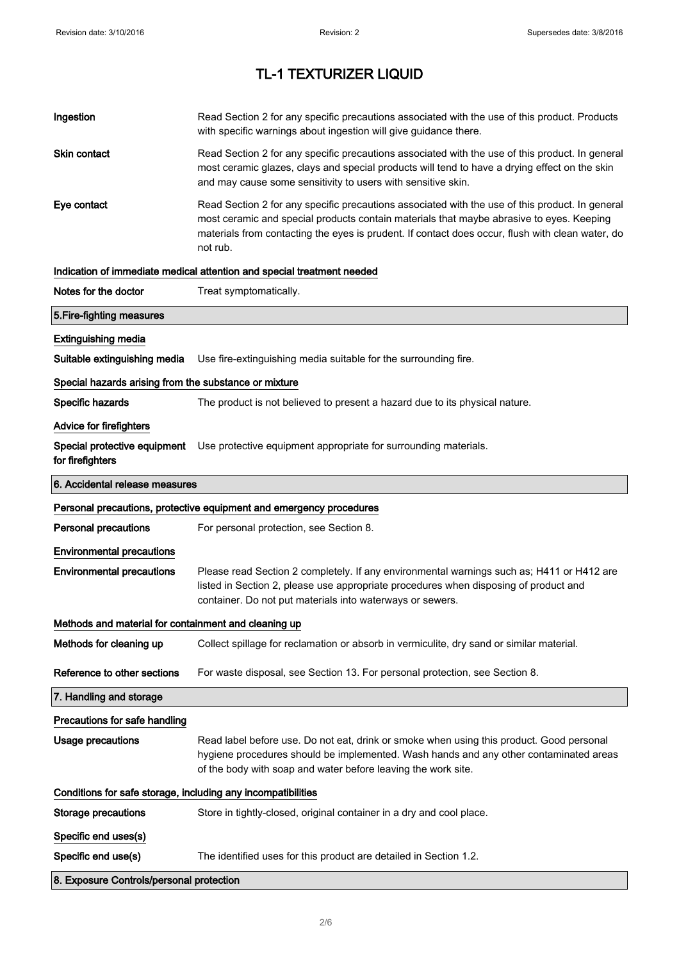| Ingestion                                                    | Read Section 2 for any specific precautions associated with the use of this product. Products<br>with specific warnings about ingestion will give guidance there.                                                                                                                                           |
|--------------------------------------------------------------|-------------------------------------------------------------------------------------------------------------------------------------------------------------------------------------------------------------------------------------------------------------------------------------------------------------|
| Skin contact                                                 | Read Section 2 for any specific precautions associated with the use of this product. In general<br>most ceramic glazes, clays and special products will tend to have a drying effect on the skin<br>and may cause some sensitivity to users with sensitive skin.                                            |
| Eye contact                                                  | Read Section 2 for any specific precautions associated with the use of this product. In general<br>most ceramic and special products contain materials that maybe abrasive to eyes. Keeping<br>materials from contacting the eyes is prudent. If contact does occur, flush with clean water, do<br>not rub. |
|                                                              | Indication of immediate medical attention and special treatment needed                                                                                                                                                                                                                                      |
| Notes for the doctor                                         | Treat symptomatically.                                                                                                                                                                                                                                                                                      |
| 5. Fire-fighting measures                                    |                                                                                                                                                                                                                                                                                                             |
| <b>Extinguishing media</b>                                   |                                                                                                                                                                                                                                                                                                             |
| Suitable extinguishing media                                 | Use fire-extinguishing media suitable for the surrounding fire.                                                                                                                                                                                                                                             |
| Special hazards arising from the substance or mixture        |                                                                                                                                                                                                                                                                                                             |
| Specific hazards                                             | The product is not believed to present a hazard due to its physical nature.                                                                                                                                                                                                                                 |
| Advice for firefighters                                      |                                                                                                                                                                                                                                                                                                             |
| Special protective equipment<br>for firefighters             | Use protective equipment appropriate for surrounding materials.                                                                                                                                                                                                                                             |
| 6. Accidental release measures                               |                                                                                                                                                                                                                                                                                                             |
|                                                              | Personal precautions, protective equipment and emergency procedures                                                                                                                                                                                                                                         |
| <b>Personal precautions</b>                                  | For personal protection, see Section 8.                                                                                                                                                                                                                                                                     |
| <b>Environmental precautions</b>                             |                                                                                                                                                                                                                                                                                                             |
| <b>Environmental precautions</b>                             | Please read Section 2 completely. If any environmental warnings such as; H411 or H412 are<br>listed in Section 2, please use appropriate procedures when disposing of product and<br>container. Do not put materials into waterways or sewers.                                                              |
| Methods and material for containment and cleaning up         |                                                                                                                                                                                                                                                                                                             |
| Methods for cleaning up                                      | Collect spillage for reclamation or absorb in vermiculite, dry sand or similar material.                                                                                                                                                                                                                    |
| Reference to other sections                                  | For waste disposal, see Section 13. For personal protection, see Section 8.                                                                                                                                                                                                                                 |
| 7. Handling and storage                                      |                                                                                                                                                                                                                                                                                                             |
| Precautions for safe handling                                |                                                                                                                                                                                                                                                                                                             |
| <b>Usage precautions</b>                                     | Read label before use. Do not eat, drink or smoke when using this product. Good personal<br>hygiene procedures should be implemented. Wash hands and any other contaminated areas<br>of the body with soap and water before leaving the work site.                                                          |
| Conditions for safe storage, including any incompatibilities |                                                                                                                                                                                                                                                                                                             |
| Storage precautions                                          | Store in tightly-closed, original container in a dry and cool place.                                                                                                                                                                                                                                        |
| Specific end uses(s)                                         |                                                                                                                                                                                                                                                                                                             |
|                                                              |                                                                                                                                                                                                                                                                                                             |
| Specific end use(s)                                          | The identified uses for this product are detailed in Section 1.2.                                                                                                                                                                                                                                           |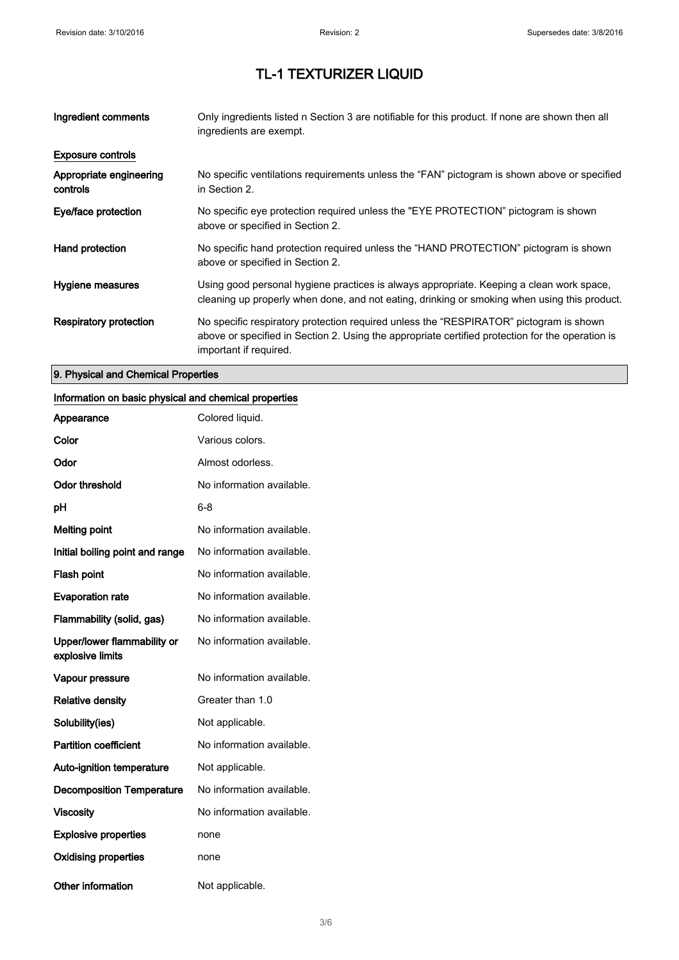| Ingredient comments                 | Only ingredients listed n Section 3 are notifiable for this product. If none are shown then all<br>ingredients are exempt.                                                                                           |
|-------------------------------------|----------------------------------------------------------------------------------------------------------------------------------------------------------------------------------------------------------------------|
| <b>Exposure controls</b>            |                                                                                                                                                                                                                      |
| Appropriate engineering<br>controls | No specific ventilations requirements unless the "FAN" pictogram is shown above or specified<br>in Section 2.                                                                                                        |
| Eye/face protection                 | No specific eye protection required unless the "EYE PROTECTION" pictogram is shown<br>above or specified in Section 2.                                                                                               |
| Hand protection                     | No specific hand protection required unless the "HAND PROTECTION" pictogram is shown<br>above or specified in Section 2.                                                                                             |
| Hygiene measures                    | Using good personal hygiene practices is always appropriate. Keeping a clean work space,<br>cleaning up properly when done, and not eating, drinking or smoking when using this product.                             |
| Respiratory protection              | No specific respiratory protection required unless the "RESPIRATOR" pictogram is shown<br>above or specified in Section 2. Using the appropriate certified protection for the operation is<br>important if required. |

### 9. Physical and Chemical Properties

#### Information on basic physical and chemical properties

| Appearance                                      | Colored liquid.           |
|-------------------------------------------------|---------------------------|
| Color                                           | Various colors.           |
| Odor                                            | Almost odorless.          |
| <b>Odor threshold</b>                           | No information available. |
| рH                                              | 6-8                       |
| <b>Melting point</b>                            | No information available. |
| Initial boiling point and range                 | No information available. |
| Flash point                                     | No information available. |
| <b>Evaporation rate</b>                         | No information available. |
| Flammability (solid, gas)                       | No information available. |
| Upper/lower flammability or<br>explosive limits | No information available. |
| Vapour pressure                                 | No information available. |
| <b>Relative density</b>                         | Greater than 1.0          |
| Solubility(ies)                                 | Not applicable.           |
| <b>Partition coefficient</b>                    | No information available. |
| <b>Auto-ignition temperature</b>                | Not applicable.           |
| <b>Decomposition Temperature</b>                | No information available. |
| <b>Viscosity</b>                                | No information available. |
| <b>Explosive properties</b>                     | none                      |
| <b>Oxidising properties</b>                     | none                      |
| <b>Other information</b>                        | Not applicable.           |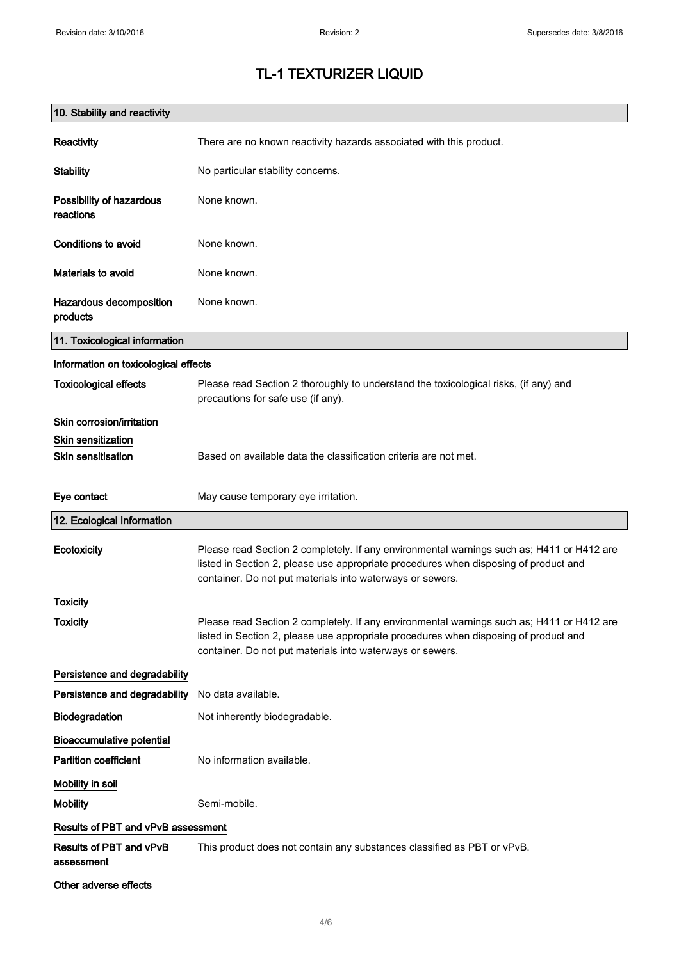'n

## TL-1 TEXTURIZER LIQUID

| 10. Stability and reactivity          |                                                                                                                                                                                                                                                |
|---------------------------------------|------------------------------------------------------------------------------------------------------------------------------------------------------------------------------------------------------------------------------------------------|
| Reactivity                            | There are no known reactivity hazards associated with this product.                                                                                                                                                                            |
| <b>Stability</b>                      | No particular stability concerns.                                                                                                                                                                                                              |
| Possibility of hazardous<br>reactions | None known.                                                                                                                                                                                                                                    |
| <b>Conditions to avoid</b>            | None known.                                                                                                                                                                                                                                    |
| Materials to avoid                    | None known.                                                                                                                                                                                                                                    |
| Hazardous decomposition<br>products   | None known.                                                                                                                                                                                                                                    |
| 11. Toxicological information         |                                                                                                                                                                                                                                                |
| Information on toxicological effects  |                                                                                                                                                                                                                                                |
| <b>Toxicological effects</b>          | Please read Section 2 thoroughly to understand the toxicological risks, (if any) and<br>precautions for safe use (if any).                                                                                                                     |
| Skin corrosion/irritation             |                                                                                                                                                                                                                                                |
| <b>Skin sensitization</b>             |                                                                                                                                                                                                                                                |
| <b>Skin sensitisation</b>             | Based on available data the classification criteria are not met.                                                                                                                                                                               |
| Eye contact                           | May cause temporary eye irritation.                                                                                                                                                                                                            |
| 12. Ecological Information            |                                                                                                                                                                                                                                                |
| Ecotoxicity                           | Please read Section 2 completely. If any environmental warnings such as; H411 or H412 are<br>listed in Section 2, please use appropriate procedures when disposing of product and<br>container. Do not put materials into waterways or sewers. |
| Toxicity                              |                                                                                                                                                                                                                                                |
| Toxicity                              | Please read Section 2 completely. If any environmental warnings such as; H411 or H412 are<br>listed in Section 2, please use appropriate procedures when disposing of product and<br>container. Do not put materials into waterways or sewers. |
| Persistence and degradability         |                                                                                                                                                                                                                                                |
| Persistence and degradability         | No data available.                                                                                                                                                                                                                             |
| Biodegradation                        | Not inherently biodegradable.                                                                                                                                                                                                                  |
| <b>Bioaccumulative potential</b>      |                                                                                                                                                                                                                                                |
| <b>Partition coefficient</b>          | No information available.                                                                                                                                                                                                                      |
| Mobility in soil                      |                                                                                                                                                                                                                                                |
| <b>Mobility</b>                       | Semi-mobile.                                                                                                                                                                                                                                   |
| Results of PBT and vPvB assessment    |                                                                                                                                                                                                                                                |
| Results of PBT and vPvB<br>assessment | This product does not contain any substances classified as PBT or vPvB.                                                                                                                                                                        |
| Other adverse effects                 |                                                                                                                                                                                                                                                |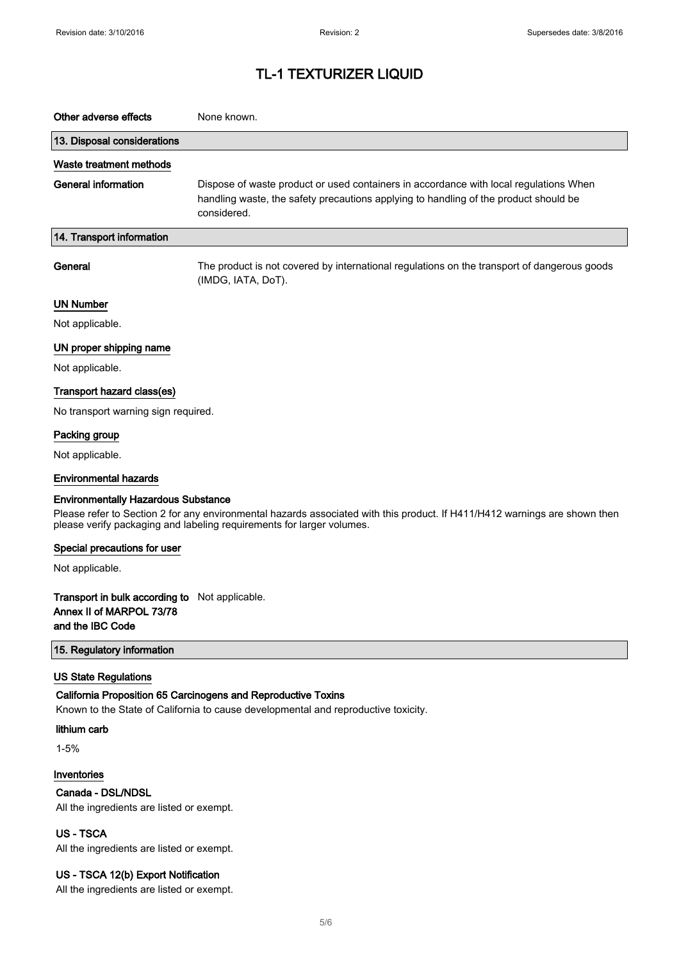| Other adverse effects                                                                                                                                                                                                                             | None known.                                                                                                                                                                                  |  |
|---------------------------------------------------------------------------------------------------------------------------------------------------------------------------------------------------------------------------------------------------|----------------------------------------------------------------------------------------------------------------------------------------------------------------------------------------------|--|
| 13. Disposal considerations                                                                                                                                                                                                                       |                                                                                                                                                                                              |  |
| Waste treatment methods                                                                                                                                                                                                                           |                                                                                                                                                                                              |  |
| General information                                                                                                                                                                                                                               | Dispose of waste product or used containers in accordance with local regulations When<br>handling waste, the safety precautions applying to handling of the product should be<br>considered. |  |
| 14. Transport information                                                                                                                                                                                                                         |                                                                                                                                                                                              |  |
| General                                                                                                                                                                                                                                           | The product is not covered by international regulations on the transport of dangerous goods<br>(IMDG, IATA, DoT).                                                                            |  |
| <b>UN Number</b>                                                                                                                                                                                                                                  |                                                                                                                                                                                              |  |
| Not applicable.                                                                                                                                                                                                                                   |                                                                                                                                                                                              |  |
| UN proper shipping name                                                                                                                                                                                                                           |                                                                                                                                                                                              |  |
| Not applicable.                                                                                                                                                                                                                                   |                                                                                                                                                                                              |  |
| Transport hazard class(es)                                                                                                                                                                                                                        |                                                                                                                                                                                              |  |
| No transport warning sign required.                                                                                                                                                                                                               |                                                                                                                                                                                              |  |
| Packing group                                                                                                                                                                                                                                     |                                                                                                                                                                                              |  |
| Not applicable.                                                                                                                                                                                                                                   |                                                                                                                                                                                              |  |
| <b>Environmental hazards</b>                                                                                                                                                                                                                      |                                                                                                                                                                                              |  |
| <b>Environmentally Hazardous Substance</b><br>Please refer to Section 2 for any environmental hazards associated with this product. If H411/H412 warnings are shown then<br>please verify packaging and labeling requirements for larger volumes. |                                                                                                                                                                                              |  |
| Special precautions for user                                                                                                                                                                                                                      |                                                                                                                                                                                              |  |
| Not applicable.                                                                                                                                                                                                                                   |                                                                                                                                                                                              |  |
| Transport in bulk according to Not applicable.<br>Annex II of MARPOL 73/78<br>and the IBC Code                                                                                                                                                    |                                                                                                                                                                                              |  |
| 15. Regulatory information                                                                                                                                                                                                                        |                                                                                                                                                                                              |  |
| <b>US State Regulations</b>                                                                                                                                                                                                                       |                                                                                                                                                                                              |  |
| California Proposition 65 Carcinogens and Reproductive Toxins<br>Known to the State of California to cause developmental and reproductive toxicity.                                                                                               |                                                                                                                                                                                              |  |
| lithium carb                                                                                                                                                                                                                                      |                                                                                                                                                                                              |  |
| $1 - 5%$                                                                                                                                                                                                                                          |                                                                                                                                                                                              |  |
| Inventories<br>Canada - DSL/NDSL<br>All the ingredients are listed or exempt.                                                                                                                                                                     |                                                                                                                                                                                              |  |
| <b>US-TSCA</b><br>All the ingredients are listed or exempt.                                                                                                                                                                                       |                                                                                                                                                                                              |  |

### US - TSCA 12(b) Export Notification

All the ingredients are listed or exempt.